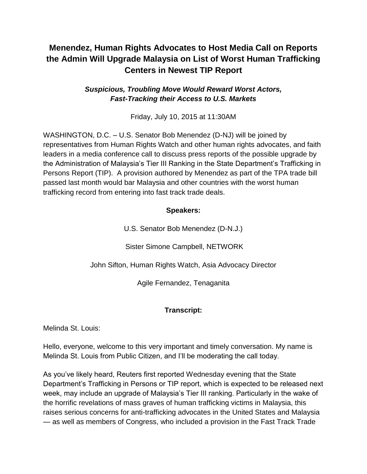# **Menendez, Human Rights Advocates to Host Media Call on Reports the Admin Will Upgrade Malaysia on List of Worst Human Trafficking Centers in Newest TIP Report**

### *Suspicious, Troubling Move Would Reward Worst Actors, Fast-Tracking their Access to U.S. Markets*

Friday, July 10, 2015 at 11:30AM

WASHINGTON, D.C. – U.S. Senator Bob Menendez (D-NJ) will be joined by representatives from Human Rights Watch and other human rights advocates, and faith leaders in a media conference call to discuss press reports of the possible upgrade by the Administration of Malaysia's Tier III Ranking in the State Department's Trafficking in Persons Report (TIP). A provision authored by Menendez as part of the TPA trade bill passed last month would bar Malaysia and other countries with the worst human trafficking record from entering into fast track trade deals.

### **Speakers:**

U.S. Senator Bob Menendez (D-N.J.)

Sister Simone Campbell, NETWORK

John Sifton, Human Rights Watch, Asia Advocacy Director

Agile Fernandez, Tenaganita

### **Transcript:**

Melinda St. Louis:

Hello, everyone, welcome to this very important and timely conversation. My name is Melinda St. Louis from Public Citizen, and I'll be moderating the call today.

As you've likely heard, Reuters first reported Wednesday evening that the State Department's Trafficking in Persons or TIP report, which is expected to be released next week, may include an upgrade of Malaysia's Tier III ranking. Particularly in the wake of the horrific revelations of mass graves of human trafficking victims in Malaysia, this raises serious concerns for anti-trafficking advocates in the United States and Malaysia — as well as members of Congress, who included a provision in the Fast Track Trade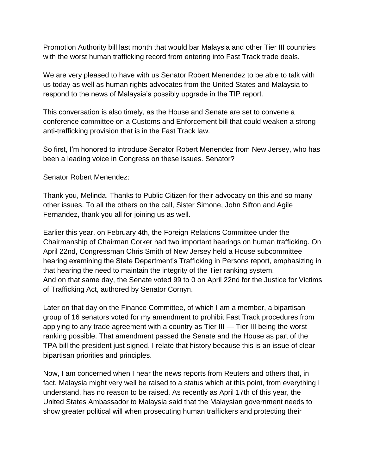Promotion Authority bill last month that would bar Malaysia and other Tier III countries with the worst human trafficking record from entering into Fast Track trade deals.

We are very pleased to have with us Senator Robert Menendez to be able to talk with us today as well as human rights advocates from the United States and Malaysia to respond to the news of Malaysia's possibly upgrade in the TIP report.

This conversation is also timely, as the House and Senate are set to convene a conference committee on a Customs and Enforcement bill that could weaken a strong anti-trafficking provision that is in the Fast Track law.

So first, I'm honored to introduce Senator Robert Menendez from New Jersey, who has been a leading voice in Congress on these issues. Senator?

Senator Robert Menendez:

Thank you, Melinda. Thanks to Public Citizen for their advocacy on this and so many other issues. To all the others on the call, Sister Simone, John Sifton and Agile Fernandez, thank you all for joining us as well.

Earlier this year, on February 4th, the Foreign Relations Committee under the Chairmanship of Chairman Corker had two important hearings on human trafficking. On April 22nd, Congressman Chris Smith of New Jersey held a House subcommittee hearing examining the State Department's Trafficking in Persons report, emphasizing in that hearing the need to maintain the integrity of the Tier ranking system. And on that same day, the Senate voted 99 to 0 on April 22nd for the Justice for Victims of Trafficking Act, authored by Senator Cornyn.

Later on that day on the Finance Committee, of which I am a member, a bipartisan group of 16 senators voted for my amendment to prohibit Fast Track procedures from applying to any trade agreement with a country as Tier III — Tier III being the worst ranking possible. That amendment passed the Senate and the House as part of the TPA bill the president just signed. I relate that history because this is an issue of clear bipartisan priorities and principles.

Now, I am concerned when I hear the news reports from Reuters and others that, in fact, Malaysia might very well be raised to a status which at this point, from everything I understand, has no reason to be raised. As recently as April 17th of this year, the United States Ambassador to Malaysia said that the Malaysian government needs to show greater political will when prosecuting human traffickers and protecting their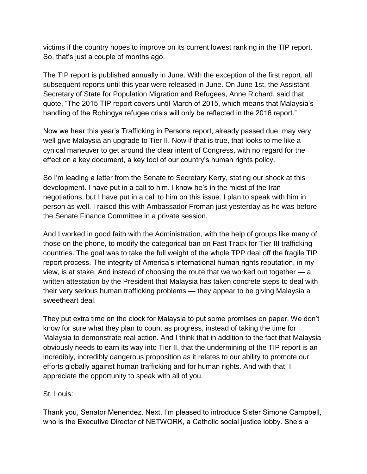victims if the country hopes to improve on its current lowest ranking in the TIP report. So, that's just a couple of months ago.

The TIP report is published annually in June. With the exception of the first report, all subsequent reports until this year were released in June. On June 1st, the Assistant Secretary of State for Population Migration and Refugees, Anne Richard, said that quote, "The 2015 TIP report covers until March of 2015, which means that Malaysia's handling of the Rohingya refugee crisis will only be reflected in the 2016 report."

Now we hear this year's Trafficking in Persons report, already passed due, may very well give Malaysia an upgrade to Tier II. Now if that is true, that looks to me like a cynical maneuver to get around the clear intent of Congress, with no regard for the effect on a key document, a key tool of our country's human rights policy.

So I'm leading a letter from the Senate to Secretary Kerry, stating our shock at this development. I have put in a call to him. I know he's in the midst of the Iran negotiations, but I have put in a call to him on this issue. I plan to speak with him in person as well. I raised this with Ambassador Froman just yesterday as he was before the Senate Finance Committee in a private session.

And I worked in good faith with the Administration, with the help of groups like many of those on the phone, to modify the categorical ban on Fast Track for Tier III trafficking countries. The goal was to take the full weight of the whole TPP deal off the fragile TIP report process. The integrity of America's international human rights reputation, in my view, is at stake. And instead of choosing the route that we worked out together — a written attestation by the President that Malaysia has taken concrete steps to deal with their very serious human trafficking problems — they appear to be giving Malaysia a sweetheart deal.

They put extra time on the clock for Malaysia to put some promises on paper. We don't know for sure what they plan to count as progress, instead of taking the time for Malaysia to demonstrate real action. And I think that in addition to the fact that Malaysia obviously needs to earn its way into Tier II, that the undermining of the TIP report is an incredibly, incredibly dangerous proposition as it relates to our ability to promote our efforts globally against human trafficking and for human rights. And with that, I appreciate the opportunity to speak with all of you.

### St. Louis:

Thank you, Senator Menendez. Next, I'm pleased to introduce Sister Simone Campbell, who is the Executive Director of NETWORK, a Catholic social justice lobby. She's a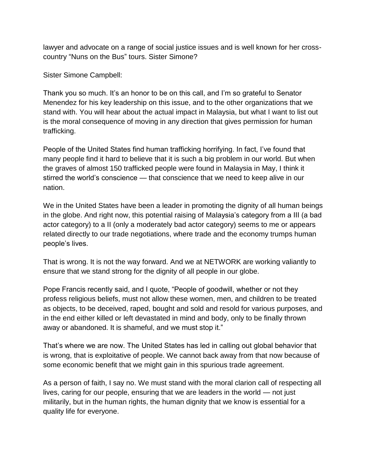lawyer and advocate on a range of social justice issues and is well known for her crosscountry "Nuns on the Bus" tours. Sister Simone?

Sister Simone Campbell:

Thank you so much. It's an honor to be on this call, and I'm so grateful to Senator Menendez for his key leadership on this issue, and to the other organizations that we stand with. You will hear about the actual impact in Malaysia, but what I want to list out is the moral consequence of moving in any direction that gives permission for human trafficking.

People of the United States find human trafficking horrifying. In fact, I've found that many people find it hard to believe that it is such a big problem in our world. But when the graves of almost 150 trafficked people were found in Malaysia in May, I think it stirred the world's conscience — that conscience that we need to keep alive in our nation.

We in the United States have been a leader in promoting the dignity of all human beings in the globe. And right now, this potential raising of Malaysia's category from a III (a bad actor category) to a II (only a moderately bad actor category) seems to me or appears related directly to our trade negotiations, where trade and the economy trumps human people's lives.

That is wrong. It is not the way forward. And we at NETWORK are working valiantly to ensure that we stand strong for the dignity of all people in our globe.

Pope Francis recently said, and I quote, "People of goodwill, whether or not they profess religious beliefs, must not allow these women, men, and children to be treated as objects, to be deceived, raped, bought and sold and resold for various purposes, and in the end either killed or left devastated in mind and body, only to be finally thrown away or abandoned. It is shameful, and we must stop it."

That's where we are now. The United States has led in calling out global behavior that is wrong, that is exploitative of people. We cannot back away from that now because of some economic benefit that we might gain in this spurious trade agreement.

As a person of faith, I say no. We must stand with the moral clarion call of respecting all lives, caring for our people, ensuring that we are leaders in the world — not just militarily, but in the human rights, the human dignity that we know is essential for a quality life for everyone.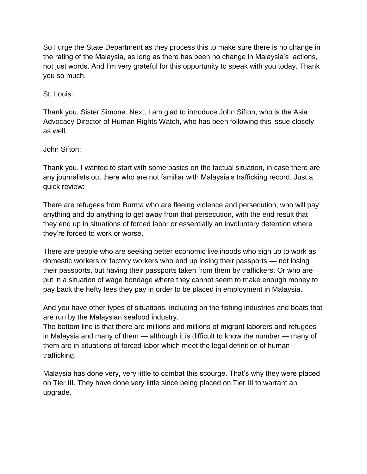So I urge the State Department as they process this to make sure there is no change in the rating of the Malaysia, as long as there has been no change in Malaysia's actions, not just words. And I'm very grateful for this opportunity to speak with you today. Thank you so much.

St. Louis:

Thank you, Sister Simone. Next, I am glad to introduce John Sifton, who is the Asia Advocacy Director of Human Rights Watch, who has been following this issue closely as well.

John Sifton:

Thank you. I wanted to start with some basics on the factual situation, in case there are any journalists out there who are not familiar with Malaysia's trafficking record. Just a quick review:

There are refugees from Burma who are fleeing violence and persecution, who will pay anything and do anything to get away from that persecution, with the end result that they end up in situations of forced labor or essentially an involuntary detention where they're forced to work or worse.

There are people who are seeking better economic livelihoods who sign up to work as domestic workers or factory workers who end up losing their passports — not losing their passports, but having their passports taken from them by traffickers. Or who are put in a situation of wage bondage where they cannot seem to make enough money to pay back the hefty fees they pay in order to be placed in employment in Malaysia.

And you have other types of situations, including on the fishing industries and boats that are run by the Malaysian seafood industry.

The bottom line is that there are millions and millions of migrant laborers and refugees in Malaysia and many of them — although it is difficult to know the number — many of them are in situations of forced labor which meet the legal definition of human trafficking.

Malaysia has done very, very little to combat this scourge. That's why they were placed on Tier III. They have done very little since being placed on Tier III to warrant an upgrade.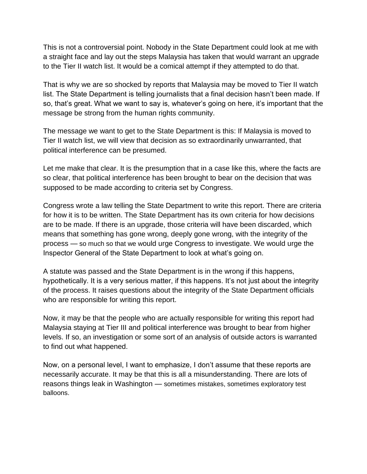This is not a controversial point. Nobody in the State Department could look at me with a straight face and lay out the steps Malaysia has taken that would warrant an upgrade to the Tier II watch list. It would be a comical attempt if they attempted to do that.

That is why we are so shocked by reports that Malaysia may be moved to Tier II watch list. The State Department is telling journalists that a final decision hasn't been made. If so, that's great. What we want to say is, whatever's going on here, it's important that the message be strong from the human rights community.

The message we want to get to the State Department is this: If Malaysia is moved to Tier II watch list, we will view that decision as so extraordinarily unwarranted, that political interference can be presumed.

Let me make that clear. It is the presumption that in a case like this, where the facts are so clear, that political interference has been brought to bear on the decision that was supposed to be made according to criteria set by Congress.

Congress wrote a law telling the State Department to write this report. There are criteria for how it is to be written. The State Department has its own criteria for how decisions are to be made. If there is an upgrade, those criteria will have been discarded, which means that something has gone wrong, deeply gone wrong, with the integrity of the process — so much so that we would urge Congress to investigate. We would urge the Inspector General of the State Department to look at what's going on.

A statute was passed and the State Department is in the wrong if this happens, hypothetically. It is a very serious matter, if this happens. It's not just about the integrity of the process. It raises questions about the integrity of the State Department officials who are responsible for writing this report.

Now, it may be that the people who are actually responsible for writing this report had Malaysia staying at Tier III and political interference was brought to bear from higher levels. If so, an investigation or some sort of an analysis of outside actors is warranted to find out what happened.

Now, on a personal level, I want to emphasize, I don't assume that these reports are necessarily accurate. It may be that this is all a misunderstanding. There are lots of reasons things leak in Washington — sometimes mistakes, sometimes exploratory test balloons.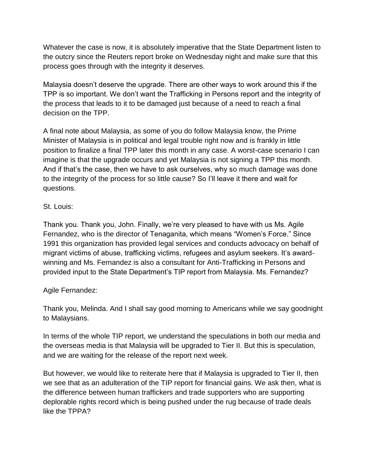Whatever the case is now, it is absolutely imperative that the State Department listen to the outcry since the Reuters report broke on Wednesday night and make sure that this process goes through with the integrity it deserves.

Malaysia doesn't deserve the upgrade. There are other ways to work around this if the TPP is so important. We don't want the Trafficking in Persons report and the integrity of the process that leads to it to be damaged just because of a need to reach a final decision on the TPP.

A final note about Malaysia, as some of you do follow Malaysia know, the Prime Minister of Malaysia is in political and legal trouble right now and is frankly in little position to finalize a final TPP later this month in any case. A worst-case scenario I can imagine is that the upgrade occurs and yet Malaysia is not signing a TPP this month. And if that's the case, then we have to ask ourselves, why so much damage was done to the integrity of the process for so little cause? So I'll leave it there and wait for questions.

### St. Louis:

Thank you. Thank you, John. Finally, we're very pleased to have with us Ms. Agile Fernandez, who is the director of Tenaganita, which means "Women's Force." Since 1991 this organization has provided legal services and conducts advocacy on behalf of migrant victims of abuse, trafficking victims, refugees and asylum seekers. It's awardwinning and Ms. Fernandez is also a consultant for Anti-Trafficking in Persons and provided input to the State Department's TIP report from Malaysia. Ms. Fernandez?

#### Agile Fernandez:

Thank you, Melinda. And I shall say good morning to Americans while we say goodnight to Malaysians.

In terms of the whole TIP report, we understand the speculations in both our media and the overseas media is that Malaysia will be upgraded to Tier II. But this is speculation, and we are waiting for the release of the report next week.

But however, we would like to reiterate here that if Malaysia is upgraded to Tier II, then we see that as an adulteration of the TIP report for financial gains. We ask then, what is the difference between human traffickers and trade supporters who are supporting deplorable rights record which is being pushed under the rug because of trade deals like the TPPA?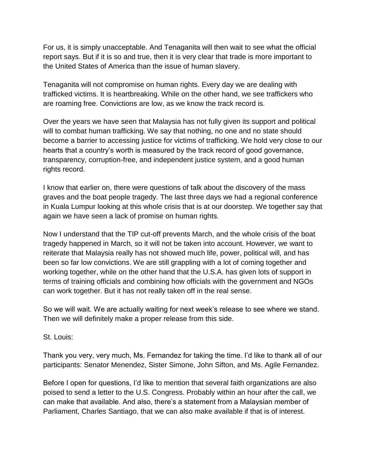For us, it is simply unacceptable. And Tenaganita will then wait to see what the official report says. But if it is so and true, then it is very clear that trade is more important to the United States of America than the issue of human slavery.

Tenaganita will not compromise on human rights. Every day we are dealing with trafficked victims. It is heartbreaking. While on the other hand, we see traffickers who are roaming free. Convictions are low, as we know the track record is.

Over the years we have seen that Malaysia has not fully given its support and political will to combat human trafficking. We say that nothing, no one and no state should become a barrier to accessing justice for victims of trafficking. We hold very close to our hearts that a country's worth is measured by the track record of good governance, transparency, corruption-free, and independent justice system, and a good human rights record.

I know that earlier on, there were questions of talk about the discovery of the mass graves and the boat people tragedy. The last three days we had a regional conference in Kuala Lumpur looking at this whole crisis that is at our doorstep. We together say that again we have seen a lack of promise on human rights.

Now I understand that the TIP cut-off prevents March, and the whole crisis of the boat tragedy happened in March, so it will not be taken into account. However, we want to reiterate that Malaysia really has not showed much life, power, political will, and has been so far low convictions. We are still grappling with a lot of coming together and working together, while on the other hand that the U.S.A. has given lots of support in terms of training officials and combining how officials with the government and NGOs can work together. But it has not really taken off in the real sense.

So we will wait. We are actually waiting for next week's release to see where we stand. Then we will definitely make a proper release from this side.

St. Louis:

Thank you very, very much, Ms. Fernandez for taking the time. I'd like to thank all of our participants: Senator Menendez, Sister Simone, John Sifton, and Ms. Agile Fernandez.

Before I open for questions, I'd like to mention that several faith organizations are also poised to send a letter to the U.S. Congress. Probably within an hour after the call, we can make that available. And also, there's a statement from a Malaysian member of Parliament, Charles Santiago, that we can also make available if that is of interest.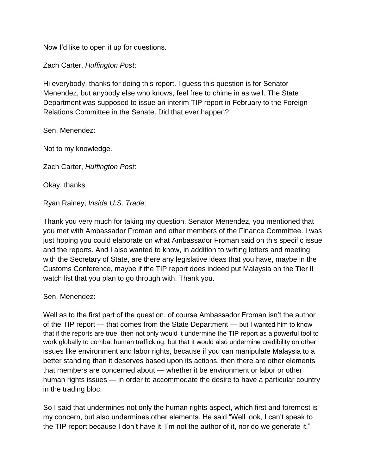Now I'd like to open it up for questions.

Zach Carter, *Huffington Post*:

Hi everybody, thanks for doing this report. I guess this question is for Senator Menendez, but anybody else who knows, feel free to chime in as well. The State Department was supposed to issue an interim TIP report in February to the Foreign Relations Committee in the Senate. Did that ever happen?

Sen. Menendez:

Not to my knowledge.

Zach Carter, *Huffington Post*:

Okay, thanks.

Ryan Rainey, *Inside U.S. Trade*:

Thank you very much for taking my question. Senator Menendez, you mentioned that you met with Ambassador Froman and other members of the Finance Committee. I was just hoping you could elaborate on what Ambassador Froman said on this specific issue and the reports. And I also wanted to know, in addition to writing letters and meeting with the Secretary of State, are there any legislative ideas that you have, maybe in the Customs Conference, maybe if the TIP report does indeed put Malaysia on the Tier II watch list that you plan to go through with. Thank you.

Sen. Menendez:

Well as to the first part of the question, of course Ambassador Froman isn't the author of the TIP report — that comes from the State Department — but I wanted him to know that if the reports are true, then not only would it undermine the TIP report as a powerful tool to work globally to combat human trafficking, but that it would also undermine credibility on other issues like environment and labor rights, because if you can manipulate Malaysia to a better standing than it deserves based upon its actions, then there are other elements that members are concerned about — whether it be environment or labor or other human rights issues — in order to accommodate the desire to have a particular country in the trading bloc.

So I said that undermines not only the human rights aspect, which first and foremost is my concern, but also undermines other elements. He said "Well look, I can't speak to the TIP report because I don't have it. I'm not the author of it, nor do we generate it."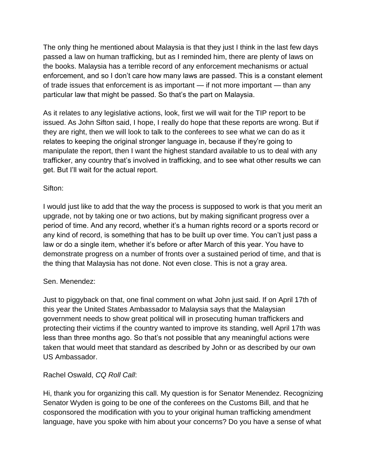The only thing he mentioned about Malaysia is that they just I think in the last few days passed a law on human trafficking, but as I reminded him, there are plenty of laws on the books. Malaysia has a terrible record of any enforcement mechanisms or actual enforcement, and so I don't care how many laws are passed. This is a constant element of trade issues that enforcement is as important — if not more important — than any particular law that might be passed. So that's the part on Malaysia.

As it relates to any legislative actions, look, first we will wait for the TIP report to be issued. As John Sifton said, I hope, I really do hope that these reports are wrong. But if they are right, then we will look to talk to the conferees to see what we can do as it relates to keeping the original stronger language in, because if they're going to manipulate the report, then I want the highest standard available to us to deal with any trafficker, any country that's involved in trafficking, and to see what other results we can get. But I'll wait for the actual report.

### Sifton:

I would just like to add that the way the process is supposed to work is that you merit an upgrade, not by taking one or two actions, but by making significant progress over a period of time. And any record, whether it's a human rights record or a sports record or any kind of record, is something that has to be built up over time. You can't just pass a law or do a single item, whether it's before or after March of this year. You have to demonstrate progress on a number of fronts over a sustained period of time, and that is the thing that Malaysia has not done. Not even close. This is not a gray area.

### Sen. Menendez:

Just to piggyback on that, one final comment on what John just said. If on April 17th of this year the United States Ambassador to Malaysia says that the Malaysian government needs to show great political will in prosecuting human traffickers and protecting their victims if the country wanted to improve its standing, well April 17th was less than three months ago. So that's not possible that any meaningful actions were taken that would meet that standard as described by John or as described by our own US Ambassador.

### Rachel Oswald, *CQ Roll Call*:

Hi, thank you for organizing this call. My question is for Senator Menendez. Recognizing Senator Wyden is going to be one of the conferees on the Customs Bill, and that he cosponsored the modification with you to your original human trafficking amendment language, have you spoke with him about your concerns? Do you have a sense of what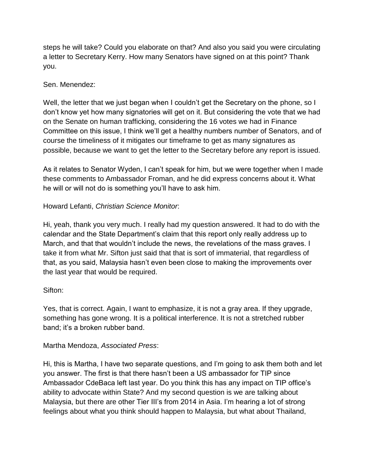steps he will take? Could you elaborate on that? And also you said you were circulating a letter to Secretary Kerry. How many Senators have signed on at this point? Thank you.

### Sen. Menendez:

Well, the letter that we just began when I couldn't get the Secretary on the phone, so I don't know yet how many signatories will get on it. But considering the vote that we had on the Senate on human trafficking, considering the 16 votes we had in Finance Committee on this issue, I think we'll get a healthy numbers number of Senators, and of course the timeliness of it mitigates our timeframe to get as many signatures as possible, because we want to get the letter to the Secretary before any report is issued.

As it relates to Senator Wyden, I can't speak for him, but we were together when I made these comments to Ambassador Froman, and he did express concerns about it. What he will or will not do is something you'll have to ask him.

### Howard Lefanti, *Christian Science Monitor*:

Hi, yeah, thank you very much. I really had my question answered. It had to do with the calendar and the State Department's claim that this report only really address up to March, and that that wouldn't include the news, the revelations of the mass graves. I take it from what Mr. Sifton just said that that is sort of immaterial, that regardless of that, as you said, Malaysia hasn't even been close to making the improvements over the last year that would be required.

### Sifton:

Yes, that is correct. Again, I want to emphasize, it is not a gray area. If they upgrade, something has gone wrong. It is a political interference. It is not a stretched rubber band; it's a broken rubber band.

#### Martha Mendoza, *Associated Press*:

Hi, this is Martha, I have two separate questions, and I'm going to ask them both and let you answer. The first is that there hasn't been a US ambassador for TIP since Ambassador CdeBaca left last year. Do you think this has any impact on TIP office's ability to advocate within State? And my second question is we are talking about Malaysia, but there are other Tier III's from 2014 in Asia. I'm hearing a lot of strong feelings about what you think should happen to Malaysia, but what about Thailand,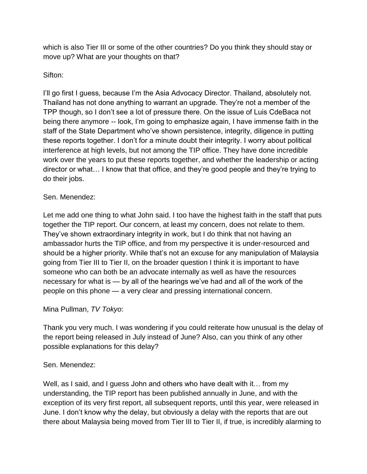which is also Tier III or some of the other countries? Do you think they should stay or move up? What are your thoughts on that?

### Sifton:

I'll go first I guess, because I'm the Asia Advocacy Director. Thailand, absolutely not. Thailand has not done anything to warrant an upgrade. They're not a member of the TPP though, so I don't see a lot of pressure there. On the issue of Luis CdeBaca not being there anymore -- look, I'm going to emphasize again, I have immense faith in the staff of the State Department who've shown persistence, integrity, diligence in putting these reports together. I don't for a minute doubt their integrity. I worry about political interference at high levels, but not among the TIP office. They have done incredible work over the years to put these reports together, and whether the leadership or acting director or what… I know that that office, and they're good people and they're trying to do their jobs.

### Sen. Menendez:

Let me add one thing to what John said. I too have the highest faith in the staff that puts together the TIP report. Our concern, at least my concern, does not relate to them. They've shown extraordinary integrity in work, but I do think that not having an ambassador hurts the TIP office, and from my perspective it is under-resourced and should be a higher priority. While that's not an excuse for any manipulation of Malaysia going from Tier III to Tier II, on the broader question I think it is important to have someone who can both be an advocate internally as well as have the resources necessary for what is — by all of the hearings we've had and all of the work of the people on this phone — a very clear and pressing international concern.

### Mina Pullman, *TV Tokyo*:

Thank you very much. I was wondering if you could reiterate how unusual is the delay of the report being released in July instead of June? Also, can you think of any other possible explanations for this delay?

### Sen. Menendez:

Well, as I said, and I guess John and others who have dealt with it... from my understanding, the TIP report has been published annually in June, and with the exception of its very first report, all subsequent reports, until this year, were released in June. I don't know why the delay, but obviously a delay with the reports that are out there about Malaysia being moved from Tier III to Tier II, if true, is incredibly alarming to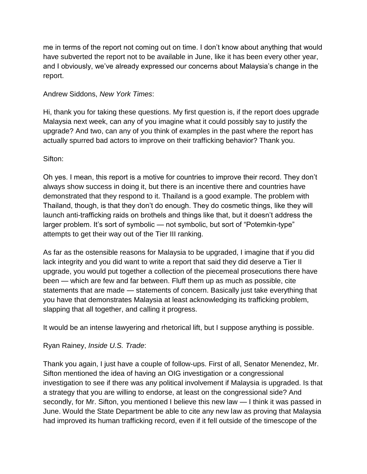me in terms of the report not coming out on time. I don't know about anything that would have subverted the report not to be available in June, like it has been every other year, and I obviously, we've already expressed our concerns about Malaysia's change in the report.

### Andrew Siddons, *New York Times*:

Hi, thank you for taking these questions. My first question is, if the report does upgrade Malaysia next week, can any of you imagine what it could possibly say to justify the upgrade? And two, can any of you think of examples in the past where the report has actually spurred bad actors to improve on their trafficking behavior? Thank you.

### Sifton:

Oh yes. I mean, this report is a motive for countries to improve their record. They don't always show success in doing it, but there is an incentive there and countries have demonstrated that they respond to it. Thailand is a good example. The problem with Thailand, though, is that they don't do enough. They do cosmetic things, like they will launch anti-trafficking raids on brothels and things like that, but it doesn't address the larger problem. It's sort of symbolic — not symbolic, but sort of "Potemkin-type" attempts to get their way out of the Tier III ranking.

As far as the ostensible reasons for Malaysia to be upgraded, I imagine that if you did lack integrity and you did want to write a report that said they did deserve a Tier II upgrade, you would put together a collection of the piecemeal prosecutions there have been — which are few and far between. Fluff them up as much as possible, cite statements that are made — statements of concern. Basically just take everything that you have that demonstrates Malaysia at least acknowledging its trafficking problem, slapping that all together, and calling it progress.

It would be an intense lawyering and rhetorical lift, but I suppose anything is possible.

Ryan Rainey, *Inside U.S. Trade*:

Thank you again, I just have a couple of follow-ups. First of all, Senator Menendez, Mr. Sifton mentioned the idea of having an OIG investigation or a congressional investigation to see if there was any political involvement if Malaysia is upgraded. Is that a strategy that you are willing to endorse, at least on the congressional side? And secondly, for Mr. Sifton, you mentioned I believe this new law — I think it was passed in June. Would the State Department be able to cite any new law as proving that Malaysia had improved its human trafficking record, even if it fell outside of the timescope of the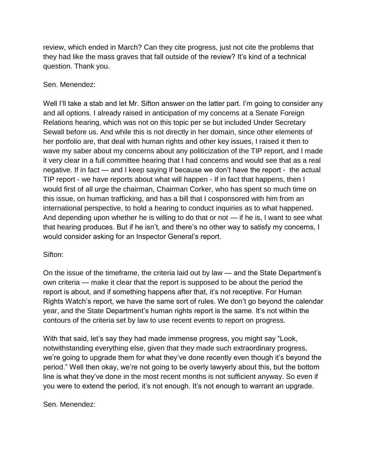review, which ended in March? Can they cite progress, just not cite the problems that they had like the mass graves that fall outside of the review? It's kind of a technical question. Thank you.

### Sen. Menendez:

Well I'll take a stab and let Mr. Sifton answer on the latter part. I'm going to consider any and all options. I already raised in anticipation of my concerns at a Senate Foreign Relations hearing, which was not on this topic per se but included Under Secretary Sewall before us. And while this is not directly in her domain, since other elements of her portfolio are, that deal with human rights and other key issues, I raised it then to wave my saber about my concerns about any politicization of the TIP report, and I made it very clear in a full committee hearing that I had concerns and would see that as a real negative. If in fact — and I keep saying if because we don't have the report - the actual TIP report - we have reports about what will happen - If in fact that happens, then I would first of all urge the chairman, Chairman Corker, who has spent so much time on this issue, on human trafficking, and has a bill that I cosponsored with him from an international perspective, to hold a hearing to conduct inquiries as to what happened. And depending upon whether he is willing to do that or not — if he is, I want to see what that hearing produces. But if he isn't, and there's no other way to satisfy my concerns, I would consider asking for an Inspector General's report.

### Sifton:

On the issue of the timeframe, the criteria laid out by law — and the State Department's own criteria — make it clear that the report is supposed to be about the period the report is about, and if something happens after that, it's not receptive. For Human Rights Watch's report, we have the same sort of rules. We don't go beyond the calendar year, and the State Department's human rights report is the same. It's not within the contours of the criteria set by law to use recent events to report on progress.

With that said, let's say they had made immense progress, you might say "Look, notwithstanding everything else, given that they made such extraordinary progress, we're going to upgrade them for what they've done recently even though it's beyond the period." Well then okay, we're not going to be overly lawyerly about this, but the bottom line is what they've done in the most recent months is not sufficient anyway. So even if you were to extend the period, it's not enough. It's not enough to warrant an upgrade.

### Sen. Menendez: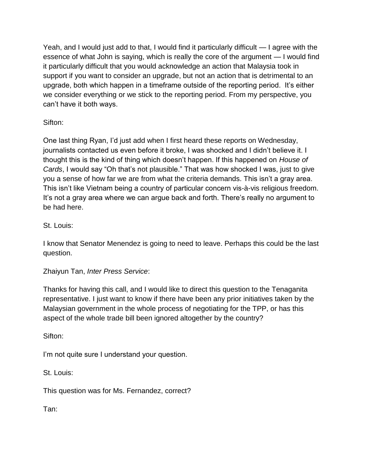Yeah, and I would just add to that, I would find it particularly difficult — I agree with the essence of what John is saying, which is really the core of the argument — I would find it particularly difficult that you would acknowledge an action that Malaysia took in support if you want to consider an upgrade, but not an action that is detrimental to an upgrade, both which happen in a timeframe outside of the reporting period. It's either we consider everything or we stick to the reporting period. From my perspective, you can't have it both ways.

Sifton:

One last thing Ryan, I'd just add when I first heard these reports on Wednesday, journalists contacted us even before it broke, I was shocked and I didn't believe it. I thought this is the kind of thing which doesn't happen. If this happened on *House of Cards*, I would say "Oh that's not plausible." That was how shocked I was, just to give you a sense of how far we are from what the criteria demands. This isn't a gray area. This isn't like Vietnam being a country of particular concern vis-à-vis religious freedom. It's not a gray area where we can argue back and forth. There's really no argument to be had here.

# St. Louis:

I know that Senator Menendez is going to need to leave. Perhaps this could be the last question.

# Zhaiyun Tan, *Inter Press Service*:

Thanks for having this call, and I would like to direct this question to the Tenaganita representative. I just want to know if there have been any prior initiatives taken by the Malaysian government in the whole process of negotiating for the TPP, or has this aspect of the whole trade bill been ignored altogether by the country?

Sifton:

I'm not quite sure I understand your question.

St. Louis:

This question was for Ms. Fernandez, correct?

Tan: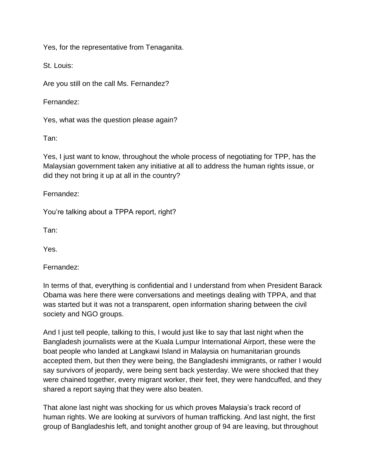Yes, for the representative from Tenaganita.

St. Louis:

Are you still on the call Ms. Fernandez?

Fernandez:

Yes, what was the question please again?

Tan:

Yes, I just want to know, throughout the whole process of negotiating for TPP, has the Malaysian government taken any initiative at all to address the human rights issue, or did they not bring it up at all in the country?

Fernandez:

You're talking about a TPPA report, right?

Tan:

Yes.

Fernandez:

In terms of that, everything is confidential and I understand from when President Barack Obama was here there were conversations and meetings dealing with TPPA, and that was started but it was not a transparent, open information sharing between the civil society and NGO groups.

And I just tell people, talking to this, I would just like to say that last night when the Bangladesh journalists were at the Kuala Lumpur International Airport, these were the boat people who landed at Langkawi Island in Malaysia on humanitarian grounds accepted them, but then they were being, the Bangladeshi immigrants, or rather I would say survivors of jeopardy, were being sent back yesterday. We were shocked that they were chained together, every migrant worker, their feet, they were handcuffed, and they shared a report saying that they were also beaten.

That alone last night was shocking for us which proves Malaysia's track record of human rights. We are looking at survivors of human trafficking. And last night, the first group of Bangladeshis left, and tonight another group of 94 are leaving, but throughout